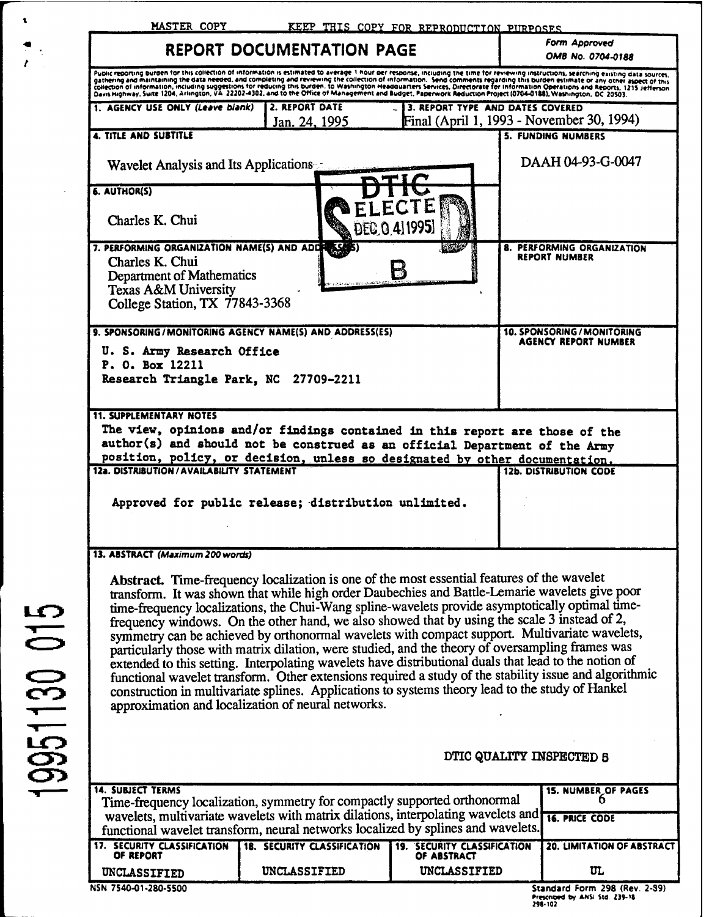| MASTER COPY                                                                    | KEEP THIS COPY FOR REPRODUCTION PURPOSES                                                                                                                                                                                                                                                                                                                                                                                                                                                                                                                                                                                                                                                                                                                                                                                                                                 |                                            |                                                                                                                                                                                                                                                                                                                                                                                                                                                                                                                                                                  |
|--------------------------------------------------------------------------------|--------------------------------------------------------------------------------------------------------------------------------------------------------------------------------------------------------------------------------------------------------------------------------------------------------------------------------------------------------------------------------------------------------------------------------------------------------------------------------------------------------------------------------------------------------------------------------------------------------------------------------------------------------------------------------------------------------------------------------------------------------------------------------------------------------------------------------------------------------------------------|--------------------------------------------|------------------------------------------------------------------------------------------------------------------------------------------------------------------------------------------------------------------------------------------------------------------------------------------------------------------------------------------------------------------------------------------------------------------------------------------------------------------------------------------------------------------------------------------------------------------|
|                                                                                | <b>REPORT DOCUMENTATION PAGE</b>                                                                                                                                                                                                                                                                                                                                                                                                                                                                                                                                                                                                                                                                                                                                                                                                                                         |                                            | <b>Form Approved</b><br><b>OMB No. 0704-0188</b>                                                                                                                                                                                                                                                                                                                                                                                                                                                                                                                 |
|                                                                                |                                                                                                                                                                                                                                                                                                                                                                                                                                                                                                                                                                                                                                                                                                                                                                                                                                                                          |                                            | Public reporting burden for this collection of information is estimated to average 1 hour per response, including the time for reviewing instructions, searching existing data sources.<br>gathering and maintaining the data needed, and completing and reviewing the collection of information. Send comments regarding this burden estimate or any other aspect of this<br>collection of information, including suggestions for reducing this burden. to Washington Headquarters Services, Directorate for information Operations and Reports, 1215 Jefferson |
| 1. AGENCY USE ONLY (Leave blank)                                               | 2. REPORT DATE<br>Jan. 24, 1995                                                                                                                                                                                                                                                                                                                                                                                                                                                                                                                                                                                                                                                                                                                                                                                                                                          |                                            | 3. REPORT TYPE AND DATES COVERED<br>Final (April 1, 1993 - November 30, 1994)                                                                                                                                                                                                                                                                                                                                                                                                                                                                                    |
| <b>4. TITLE AND SUBTITLE</b>                                                   |                                                                                                                                                                                                                                                                                                                                                                                                                                                                                                                                                                                                                                                                                                                                                                                                                                                                          |                                            | <b>5. FUNDING NUMBERS</b>                                                                                                                                                                                                                                                                                                                                                                                                                                                                                                                                        |
| Wavelet Analysis and Its Applications                                          |                                                                                                                                                                                                                                                                                                                                                                                                                                                                                                                                                                                                                                                                                                                                                                                                                                                                          |                                            | DAAH 04-93-G-0047                                                                                                                                                                                                                                                                                                                                                                                                                                                                                                                                                |
| 6. AUTHOR(S)                                                                   |                                                                                                                                                                                                                                                                                                                                                                                                                                                                                                                                                                                                                                                                                                                                                                                                                                                                          |                                            |                                                                                                                                                                                                                                                                                                                                                                                                                                                                                                                                                                  |
| Charles K. Chui                                                                |                                                                                                                                                                                                                                                                                                                                                                                                                                                                                                                                                                                                                                                                                                                                                                                                                                                                          | DEC 0 41 1995)                             |                                                                                                                                                                                                                                                                                                                                                                                                                                                                                                                                                                  |
| 7. PERFORMING ORGANIZATION NAME(S) AND ADDITIONS<br>Charles K. Chui            |                                                                                                                                                                                                                                                                                                                                                                                                                                                                                                                                                                                                                                                                                                                                                                                                                                                                          |                                            | 8. PERFORMING ORGANIZATION<br><b>REPORT NUMBER</b>                                                                                                                                                                                                                                                                                                                                                                                                                                                                                                               |
| Department of Mathematics                                                      |                                                                                                                                                                                                                                                                                                                                                                                                                                                                                                                                                                                                                                                                                                                                                                                                                                                                          | М                                          |                                                                                                                                                                                                                                                                                                                                                                                                                                                                                                                                                                  |
| Texas A&M University<br>College Station, TX 77843-3368                         |                                                                                                                                                                                                                                                                                                                                                                                                                                                                                                                                                                                                                                                                                                                                                                                                                                                                          |                                            |                                                                                                                                                                                                                                                                                                                                                                                                                                                                                                                                                                  |
|                                                                                | 9. SPONSORING/MONITORING AGENCY NAME(S) AND ADDRESS(ES)                                                                                                                                                                                                                                                                                                                                                                                                                                                                                                                                                                                                                                                                                                                                                                                                                  |                                            | 10. SPONSORING / MONITORING                                                                                                                                                                                                                                                                                                                                                                                                                                                                                                                                      |
| U. S. Army Research Office                                                     |                                                                                                                                                                                                                                                                                                                                                                                                                                                                                                                                                                                                                                                                                                                                                                                                                                                                          |                                            | AGENCY REPORT NUMBER                                                                                                                                                                                                                                                                                                                                                                                                                                                                                                                                             |
| P. O. Box 12211                                                                |                                                                                                                                                                                                                                                                                                                                                                                                                                                                                                                                                                                                                                                                                                                                                                                                                                                                          |                                            |                                                                                                                                                                                                                                                                                                                                                                                                                                                                                                                                                                  |
| Research Triangle Park, NC 27709-2211                                          |                                                                                                                                                                                                                                                                                                                                                                                                                                                                                                                                                                                                                                                                                                                                                                                                                                                                          |                                            |                                                                                                                                                                                                                                                                                                                                                                                                                                                                                                                                                                  |
|                                                                                | The view, opinions and/or findings contained in this report are those of the<br>author(s) and should not be construed as an official Department of the Army<br>position, policy, or decision, unless so designated by other documentation.                                                                                                                                                                                                                                                                                                                                                                                                                                                                                                                                                                                                                               |                                            | <b>12b. DISTRIBUTION CODE</b>                                                                                                                                                                                                                                                                                                                                                                                                                                                                                                                                    |
|                                                                                | Approved for public release; distribution unlimited.                                                                                                                                                                                                                                                                                                                                                                                                                                                                                                                                                                                                                                                                                                                                                                                                                     |                                            |                                                                                                                                                                                                                                                                                                                                                                                                                                                                                                                                                                  |
|                                                                                |                                                                                                                                                                                                                                                                                                                                                                                                                                                                                                                                                                                                                                                                                                                                                                                                                                                                          |                                            |                                                                                                                                                                                                                                                                                                                                                                                                                                                                                                                                                                  |
|                                                                                |                                                                                                                                                                                                                                                                                                                                                                                                                                                                                                                                                                                                                                                                                                                                                                                                                                                                          |                                            |                                                                                                                                                                                                                                                                                                                                                                                                                                                                                                                                                                  |
| 12a. DISTRIBUTION / AVAILABILITY STATEMENT<br>13. ABSTRACT (Maximum 200 words) | Abstract. Time-frequency localization is one of the most essential features of the wavelet<br>transform. It was shown that while high order Daubechies and Battle-Lemarie wavelets give poor<br>time-frequency localizations, the Chui-Wang spline-wavelets provide asymptotically optimal time-<br>frequency windows. On the other hand, we also showed that by using the scale 3 instead of 2,<br>symmetry can be achieved by orthonormal wavelets with compact support. Multivariate wavelets,<br>particularly those with matrix dilation, were studied, and the theory of oversampling frames was<br>extended to this setting. Interpolating wavelets have distributional duals that lead to the notion of<br>construction in multivariate splines. Applications to systems theory lead to the study of Hankel<br>approximation and localization of neural networks. |                                            | functional wavelet transform. Other extensions required a study of the stability issue and algorithmic                                                                                                                                                                                                                                                                                                                                                                                                                                                           |
|                                                                                |                                                                                                                                                                                                                                                                                                                                                                                                                                                                                                                                                                                                                                                                                                                                                                                                                                                                          |                                            | DTIC QUALITY INSPECTED 8                                                                                                                                                                                                                                                                                                                                                                                                                                                                                                                                         |
|                                                                                |                                                                                                                                                                                                                                                                                                                                                                                                                                                                                                                                                                                                                                                                                                                                                                                                                                                                          |                                            |                                                                                                                                                                                                                                                                                                                                                                                                                                                                                                                                                                  |
|                                                                                |                                                                                                                                                                                                                                                                                                                                                                                                                                                                                                                                                                                                                                                                                                                                                                                                                                                                          |                                            | 15. NUMBER OF PAGES<br>n                                                                                                                                                                                                                                                                                                                                                                                                                                                                                                                                         |
|                                                                                | Time-frequency localization, symmetry for compactly supported orthonormal<br>wavelets, multivariate wavelets with matrix dilations, interpolating wavelets and                                                                                                                                                                                                                                                                                                                                                                                                                                                                                                                                                                                                                                                                                                           |                                            | <b>16. PRICE CODE</b>                                                                                                                                                                                                                                                                                                                                                                                                                                                                                                                                            |
| OF REPORT                                                                      | functional wavelet transform, neural networks localized by splines and wavelets.<br><b>18. SECURITY CLASSIFICATION</b>                                                                                                                                                                                                                                                                                                                                                                                                                                                                                                                                                                                                                                                                                                                                                   | 19. SECURITY CLASSIFICATION<br>OF ABSTRACT | <b>20. LIMITATION OF ABSTRACT</b>                                                                                                                                                                                                                                                                                                                                                                                                                                                                                                                                |
| <b>14. SUBJECT TERMS</b><br>17. SECURITY CLASSIFICATION<br>UNCLASSIFIED        | UNCLASSIFIED                                                                                                                                                                                                                                                                                                                                                                                                                                                                                                                                                                                                                                                                                                                                                                                                                                                             | UNCLASSIFIED                               | $\mathbf{u}$                                                                                                                                                                                                                                                                                                                                                                                                                                                                                                                                                     |

 $\mathbf{t}$ 

 $\begin{array}{c} \frac{\partial \mathbf{u}}{\partial t} & \frac{\partial \mathbf{u}}{\partial t} \\ \frac{\partial \mathbf{u}}{\partial t} & \frac{\partial \mathbf{u}}{\partial t} \end{array}$ 

 $\overline{\mathcal{A}}$ 

**Prescribed by ANSI Sid Z3f-ti 24(102**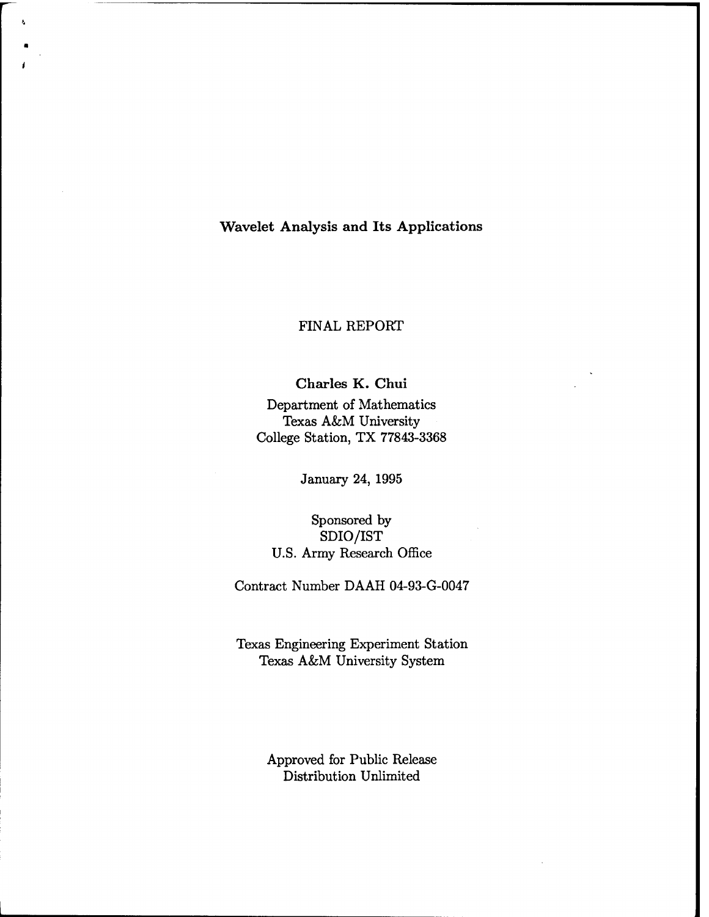**Wavelet Analysis and Its Applications**

# FINAL REPORT

**Charles K. Chui** Department of Mathematics Texas A&M University College Station, TX 77843-3368

January 24, 1995

# Sponsored by SDIO/IST U.S. Army Research Office

Contract Number DAAH 04-93-G-0047

Texas Engineering Experiment Station Texas A&M University System

> Approved for Public Release Distribution Unlimited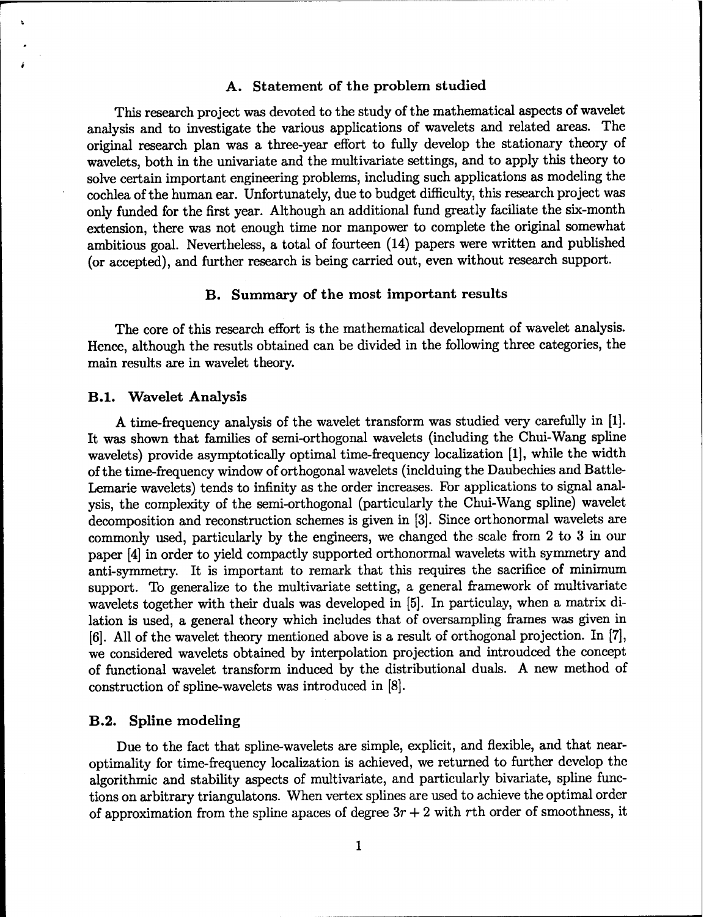### **A. Statement of the problem studied**

This research project was devoted to the study of the mathematical aspects of wavelet analysis and to investigate the various applications of wavelets and related areas. The original research plan was a three-year effort to fully develop the stationary theory of wavelets, both in the univariate and the multivariate settings, and to apply this theory to solve certain important engineering problems, including such applications as modeling the cochlea of the human ear. Unfortunately, due to budget difficulty, this research project was only funded for the first year. Although an additional fund greatly faciliate the six-month extension, there was not enough time nor manpower to complete the original somewhat ambitious goal. Nevertheless, a total of fourteen (14) papers were written and published (or accepted), and further research is being carried out, even without research support.

### **B. Summary of the most important results**

The core of this research effort is the mathematical development of wavelet analysis. Hence, although the resutls obtained can be divided in the following three categories, the main results are in wavelet theory.

#### **B.l. Wavelet Analysis**

**A** time-frequency analysis of the wavelet transform was studied very carefully in [1]. It was shown that families of semi-orthogonal wavelets (including the Chui-Wang spline wavelets) provide asymptotically optimal time-frequency localization [1], while the width ofthe time-frequency window of orthogonal wavelets (inclduing the Daubechies and Battle-Lemarie wavelets) tends to infinity as the order increases. For applications to signal analysis, the complexity of the semi-orthogonal (particularly the Chui-Wang spline) wavelet decomposition and reconstruction schemes is given in [3]. Since orthonormal wavelets are commonly used, particularly by the engineers, we changed the scale from 2 to 3 in our paper [4] in order to yield compactly supported orthonormal wavelets with symmetry and anti-symmetry. It is important to remark that this requires the sacrifice of minimum support. To generalize to the multivariate setting, a general framework of multivariate wavelets together with their duals was developed in [5]. In particulay, when a matrix dilation is used, a general theory which includes that of oversampling frames was given in [6]. All of the wavelet theory mentioned above is a result of orthogonal projection. In [7], we considered wavelets obtained by interpolation projection and introudced the concept of functional wavelet transform induced by the distributional duals. A new method of construction of spline-wavelets was introduced in [8].

#### **B.2. Spline modeling**

Due to the fact that spline-wavelets are simple, explicit, and flexible, and that nearoptimality for time-frequency localization is achieved, we returned to further develop the algorithmic and stability aspects of multivariate, and particularly bivariate, spline functions on arbitrary triangulatons. When vertex splines are used to achieve the optimal order of approximation from the spline apaces of degree  $3r + 2$  with rth order of smoothness, it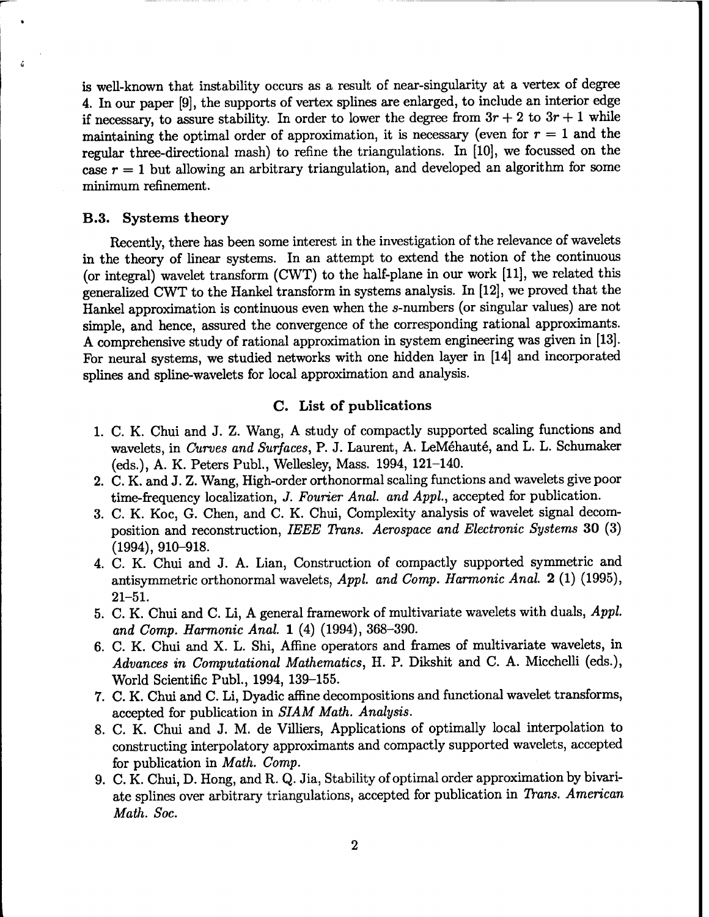is well-known that instability occurs as a result of near-singularity at a vertex of degree 4. In our paper [9], the supports of vertex splines are enlarged, to include an interior edge if necessary, to assure stability. In order to lower the degree from  $3r + 2$  to  $3r + 1$  while maintaining the optimal order of approximation, it is necessary (even for  $r = 1$  and the regular three-directional mash) to refine the triangulations. In [10], we focussed on the case  $r = 1$  but allowing an arbitrary triangulation, and developed an algorithm for some minimum refinement.

## **B.3. Systems theory**

Recently, there has been some interest in the investigation of the relevance of wavelets in the theory of linear systems. In an attempt to extend the notion of the continuous (or integral) wavelet transform (CWT) to the half-plane in our work [11], we related this generalized CWT to the Hankel transform in systems analysis. In [12], we proved that the Hankel approximation is continuous even when the s-numbers (or singular values) are not simple, and hence, assured the convergence of the corresponding rational approximants. A comprehensive study of rational approximation in system engineering was given in [13]. For neural systems, we studied networks with one hidden layer in [14] and incorporated splines and spline-wavelets for local approximation and analysis.

## **C. List of publications**

- **1.** C. **K.** Chui and J. Z. Wang, A study of compactly supported scaling functions and wavelets, in *Curves and Surfaces,* P. J. Laurent, A. LeMehaute, and L. L. Schumaker (eds.), A. K. Peters Publ., Wellesley, Mass. 1994, 121-140.
- 2. C. K. and J. Z. Wang, High-order orthonormal scaling functions and wavelets give poor time-frequency localization, *J. Fourier Anal, and Appl,* accepted for publication.
- 3. C. K. Koc, G. Chen, and C. K. Chui, Complexity analysis of wavelet signal decomposition and reconstruction, *IEEE Trans. Aerospace and Electronic Systems* 30 (3) (1994), 910-918.
- 4. C. K. Chui and J. A. Lian, Construction of compactly supported symmetric and antisymmetric orthonormal wavelets, *Appl. and Comp. Harmonic Anal.* 2 (1) (1995), 21-51.
- 5. C. K. Chui and C. Li, A general framework of multivariate wavelets with duals, *Appl. and Comp. Harmonic Anal.* 1 (4) (1994), 368-390.
- 6. C. K. Chui and X. L. Shi, Affine operators and frames of multivariate wavelets, in *Advances in Computational Mathematics,* H. P. Dikshit and C. A. Micchelli (eds.), World Scientific Publ., 1994, 139-155.
- 7. C. K. Chui and C. Li, Dyadic affine decompositions and functional wavelet transforms, accepted for publication in *SIAM Math. Analysis.*
- 8. C. K. Chui and J. M. de Villiers, Applications of optimally local interpolation to constructing interpolatory approximants and compactly supported wavelets, accepted for publication in *Math. Comp.*
- 9. C. K. Chui, D. Hong, and R. Q. Jia, Stability of optimal order approximation by bivariate splines over arbitrary triangulations, accepted for publication in *Trans. American Math. Soc.*